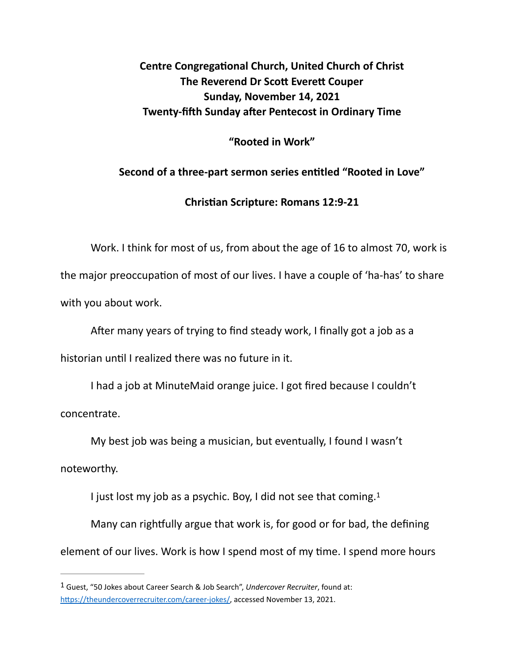## **Centre Congregational Church, United Church of Christ The Reverend Dr Scott Everett Couper Sunday, November 14, 2021 Twenty-fifth Sunday after Pentecost in Ordinary Time**

**"Rooted in Work"** 

## Second of a three-part sermon series entitled "Rooted in Love"

**Chris\*an Scripture: Romans 12:9-21** 

Work. I think for most of us, from about the age of 16 to almost 70, work is the major preoccupation of most of our lives. I have a couple of 'ha-has' to share with you about work.

After many years of trying to find steady work, I finally got a job as a historian until I realized there was no future in it.

I had a job at MinuteMaid orange juice. I got fired because I couldn't concentrate.

My best job was being a musician, but eventually, I found I wasn't noteworthy.

<span id="page-0-1"></span>I just lost my job as a psychic. Boy, I did not see that coming.<sup>1</sup>

Many can rightfully argue that work is, for good or for bad, the defining element of our lives. Work is how I spend most of my time. I spend more hours

<span id="page-0-0"></span>Guest, "50 Jokes about Career Search & Job Search", *Undercover Recruiter*, found at: [1](#page-0-1) https://theundercoverrecruiter.com/career-jokes/, accessed November 13, 2021.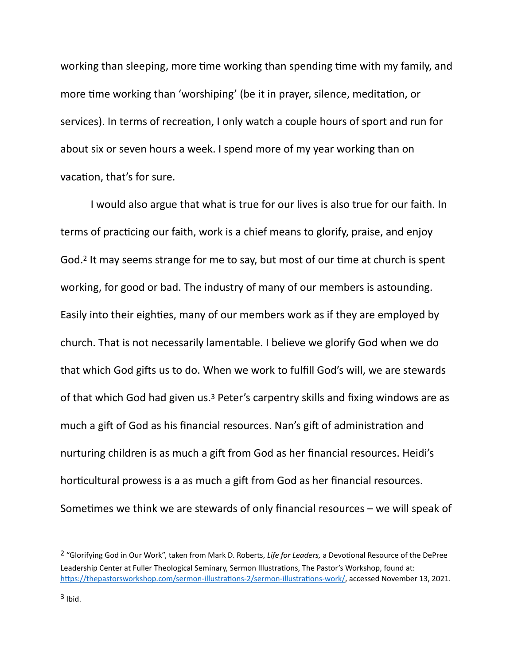working than sleeping, more time working than spending time with my family, and more time working than 'worshiping' (be it in prayer, silence, meditation, or services). In terms of recreation, I only watch a couple hours of sport and run for about six or seven hours a week. I spend more of my year working than on vacation, that's for sure.

<span id="page-1-2"></span>I would also argue that what is true for our lives is also true for our faith. In terms of practicing our faith, work is a chief means to glorify, praise, and enjoy God.<sup>[2](#page-1-0)</sup> It may seems strange for me to say, but most of our time at church is spent working, for good or bad. The industry of many of our members is astounding. Easily into their eighties, many of our members work as if they are employed by church. That is not necessarily lamentable. I believe we glorify God when we do that which God gifts us to do. When we work to fulfill God's will, we are stewards of that which God had given us[.](#page-1-1)<sup>[3](#page-1-1)</sup> Peter's carpentry skills and fixing windows are as much a gift of God as his financial resources. Nan's gift of administration and nurturing children is as much a gift from God as her financial resources. Heidi's horticultural prowess is a as much a gift from God as her financial resources. Sometimes we think we are stewards of only financial resources – we will speak of

<span id="page-1-3"></span><span id="page-1-1"></span><span id="page-1-0"></span><sup>&</sup>lt;sup>[2](#page-1-2)</sup> "Glorifying God in Our Work", taken from Mark D. Roberts, *Life for Leaders*, a Devotional Resource of the DePree Leadership Center at Fuller Theological Seminary, Sermon Illustrations, The Pastor's Workshop, found at: https://thepastorsworkshop.com/sermon-illustrations-2/sermon-illustrations-work/, accessed November 13, 2021.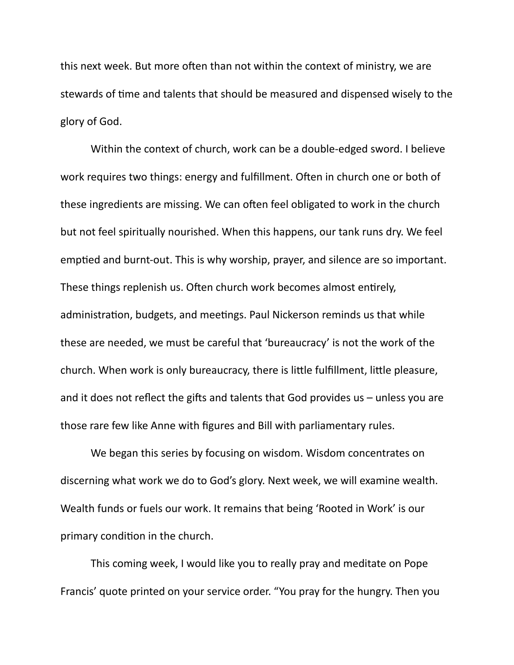this next week. But more often than not within the context of ministry, we are stewards of time and talents that should be measured and dispensed wisely to the glory of God.

Within the context of church, work can be a double-edged sword. I believe work requires two things: energy and fulfillment. Often in church one or both of these ingredients are missing. We can often feel obligated to work in the church but not feel spiritually nourished. When this happens, our tank runs dry. We feel emptied and burnt-out. This is why worship, prayer, and silence are so important. These things replenish us. Often church work becomes almost entirely, administration, budgets, and meetings. Paul Nickerson reminds us that while these are needed, we must be careful that 'bureaucracy' is not the work of the church. When work is only bureaucracy, there is little fulfillment, little pleasure, and it does not reflect the gifts and talents that God provides us  $-$  unless you are those rare few like Anne with figures and Bill with parliamentary rules.

We began this series by focusing on wisdom. Wisdom concentrates on discerning what work we do to God's glory. Next week, we will examine wealth. Wealth funds or fuels our work. It remains that being 'Rooted in Work' is our primary condition in the church.

This coming week, I would like you to really pray and meditate on Pope Francis' quote printed on your service order. "You pray for the hungry. Then you